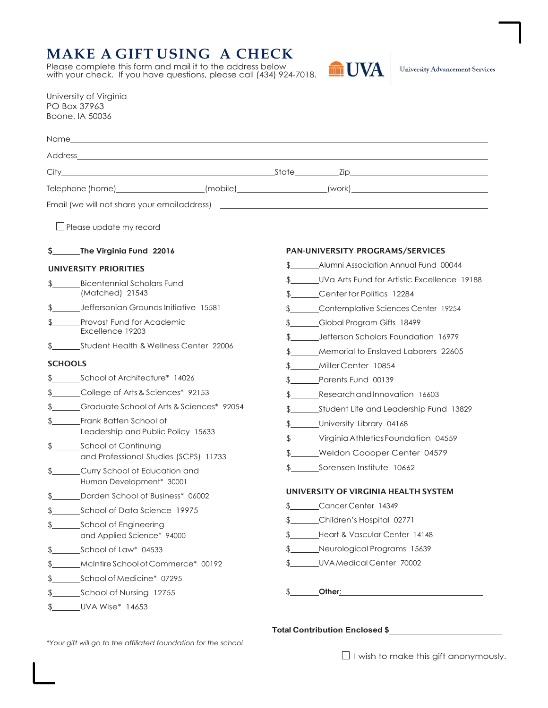## **MAKE A GIFT USING A CHECK**

Please complete this form and mail it to the address below with your check. If you have questions, please call (434) 924-7018.



| University of Virginia |
|------------------------|
| PO Box 37963           |
| Boone, IA 50036        |

|                                                               | Telephone (home)_____________________(mobile)__________________(work)_______________________________ |
|---------------------------------------------------------------|------------------------------------------------------------------------------------------------------|
|                                                               |                                                                                                      |
| $\Box$ Please update my record                                |                                                                                                      |
| \$_______The Virginia Fund 22016                              | <b>PAN-UNIVERSITY PROGRAMS/SERVICES</b>                                                              |
| UNIVERSITY PRIORITIES                                         | Alumni Association Annual Fund 00044                                                                 |
| <b>Bicentennial Scholars Fund</b>                             | \$ UVa Arts Fund for Artistic Excellence 19188                                                       |
| (Matched) 21543                                               | \$ Center for Politics 12284                                                                         |
| Jeffersonian Grounds Initiative 15581                         | \$ Contemplative Sciences Center 19254                                                               |
| Provost Fund for Academic                                     | \$______Global Program Gifts 18499                                                                   |
| Excellence 19203                                              | \$ Jefferson Scholars Foundation 16979                                                               |
| Student Health & Wellness Center 22006                        | \$ Memorial to Enslaved Laborers 22605                                                               |
| <b>SCHOOLS</b>                                                | \$ MillerCenter 10854                                                                                |
| School of Architecture* 14026                                 | \$ Parents Fund 00139                                                                                |
| College of Arts & Sciences* 92153                             | \$ Research and Innovation 16603                                                                     |
| \$ Graduate School of Arts & Sciences* 92054                  |                                                                                                      |
| Frank Batten School of                                        | \$______University Library 04168                                                                     |
| Leadership and Public Policy 15633                            | \$_____Virginia Athletics Foundation 04559                                                           |
| School of Continuing<br>and Professional Studies (SCPS) 11733 | \$_____Weldon Coooper Center 04579                                                                   |
| Curry School of Education and                                 | \$ Sorensen Institute 10662                                                                          |
| Human Development* 30001                                      |                                                                                                      |
| Darden School of Business* 06002                              | UNIVERSITY OF VIRGINIA HEALTH SYSTEM                                                                 |
| School of Data Science 19975                                  | Cancer Center 14349                                                                                  |
| \$<br>School of Engineering                                   | \$_____Children's Hospital 02771                                                                     |
| and Applied Science* 94000                                    | Heart & Vascular Center 14148                                                                        |
| School of Law* 04533                                          | Neurological Programs 15639                                                                          |
| McIntire School of Commerce* 00192                            | <b>UVA Medical Center 70002</b>                                                                      |
| School of Medicine* 07295                                     |                                                                                                      |
| School of Nursing 12755                                       | Other:                                                                                               |
| UVA Wise* 14653<br>\$                                         |                                                                                                      |

*\*Your gift will go to the affiliated foundation for the school* 

## **Total Contribution Enclosed \$**

 $\Box$  I wish to make this gift anonymously.